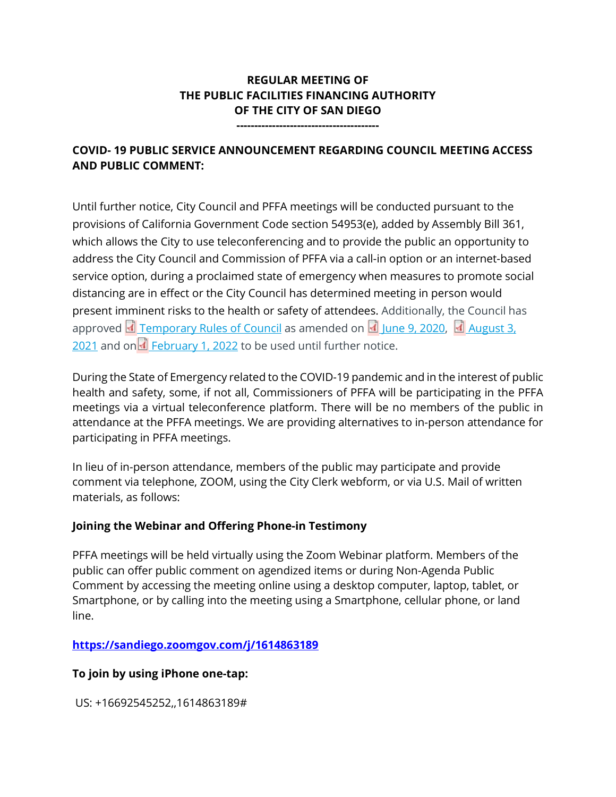# **REGULAR MEETING OF THE PUBLIC FACILITIES FINANCING AUTHORITY OF THE CITY OF SAN DIEGO**

**----------------------------------------**

# **COVID- 19 PUBLIC SERVICE ANNOUNCEMENT REGARDING COUNCIL MEETING ACCESS AND PUBLIC COMMENT:**

Until further notice, City Council and PFFA meetings will be conducted pursuant to the provisions of California Government Code section 54953(e), added by Assembly Bill 361, which allows the City to use teleconferencing and to provide the public an opportunity to address the City Council and Commission of PFFA via a call-in option or an internet-based service option, during a proclaimed state of emergency when measures to promote social distancing are in effect or the City Council has determined meeting in person would present imminent risks to the health or safety of attendees. Additionally, the Council has approved  $\Box$  [Temporary Rules of Council](https://docs.sandiego.gov/council_reso_ordinance/rao2020/R-312902.pdf) as amended on  $\Box$  [June 9, 2020,](https://docs.sandiego.gov/council_reso_ordinance/rao2020/R-313082.pdf)  $\Box$  August 3, [2021](https://docs.sandiego.gov/council_reso_ordinance/rao2021/R-313673.pdf) and on  $\overline{1}$  [February 1, 2022](https://docs.sandiego.gov/council_reso_ordinance/rao2022/R-313878.pdf) to be used until further notice.

During the State of Emergency related to the COVID-19 pandemic and in the interest of public health and safety, some, if not all, Commissioners of PFFA will be participating in the PFFA meetings via a virtual teleconference platform. There will be no members of the public in attendance at the PFFA meetings. We are providing alternatives to in-person attendance for participating in PFFA meetings.

In lieu of in-person attendance, members of the public may participate and provide comment via telephone, ZOOM, using the City Clerk webform, or via U.S. Mail of written materials, as follows:

# **Joining the Webinar and Offering Phone-in Testimony**

PFFA meetings will be held virtually using the Zoom Webinar platform. Members of the public can offer public comment on agendized items or during Non-Agenda Public Comment by accessing the meeting online using a desktop computer, laptop, tablet, or Smartphone, or by calling into the meeting using a Smartphone, cellular phone, or land line.

## **<https://sandiego.zoomgov.com/j/1614863189>**

## **To join by using iPhone one-tap:**

US: +16692545252,,1614863189#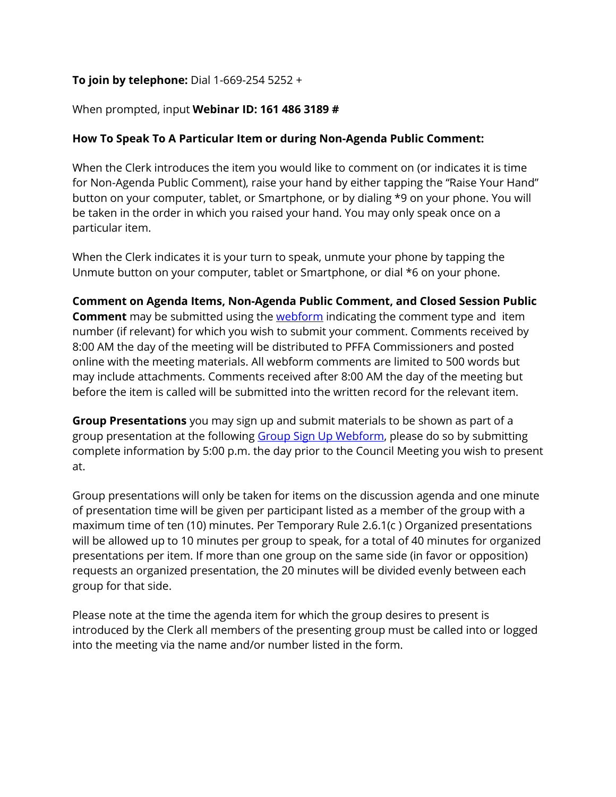# **To join by telephone:** Dial 1-669-254 5252 +

### When prompted, input **Webinar ID: 161 486 3189 #**

## **How To Speak To A Particular Item or during Non-Agenda Public Comment:**

When the Clerk introduces the item you would like to comment on (or indicates it is time for Non-Agenda Public Comment), raise your hand by either tapping the "Raise Your Hand" button on your computer, tablet, or Smartphone, or by dialing \*9 on your phone. You will be taken in the order in which you raised your hand. You may only speak once on a particular item.

When the Clerk indicates it is your turn to speak, unmute your phone by tapping the Unmute button on your computer, tablet or Smartphone, or dial \*6 on your phone.

**Comment on Agenda Items, Non-Agenda Public Comment, and Closed Session Public Comment** may be submitted using the **webform** indicating the comment type and item number (if relevant) for which you wish to submit your comment. Comments received by 8:00 AM the day of the meeting will be distributed to PFFA Commissioners and posted online with the meeting materials. All webform comments are limited to 500 words but may include attachments. Comments received after 8:00 AM the day of the meeting but before the item is called will be submitted into the written record for the relevant item.

**Group Presentations** you may sign up and submit materials to be shown as part of a group presentation at the following [Group Sign Up Webform,](https://www.sandiego.gov/form/group-presentation-sign-city-council-meeting) please do so by submitting complete information by 5:00 p.m. the day prior to the Council Meeting you wish to present at.

Group presentations will only be taken for items on the discussion agenda and one minute of presentation time will be given per participant listed as a member of the group with a maximum time of ten (10) minutes. Per Temporary Rule 2.6.1(c ) Organized presentations will be allowed up to 10 minutes per group to speak, for a total of 40 minutes for organized presentations per item. If more than one group on the same side (in favor or opposition) requests an organized presentation, the 20 minutes will be divided evenly between each group for that side.

Please note at the time the agenda item for which the group desires to present is introduced by the Clerk all members of the presenting group must be called into or logged into the meeting via the name and/or number listed in the form.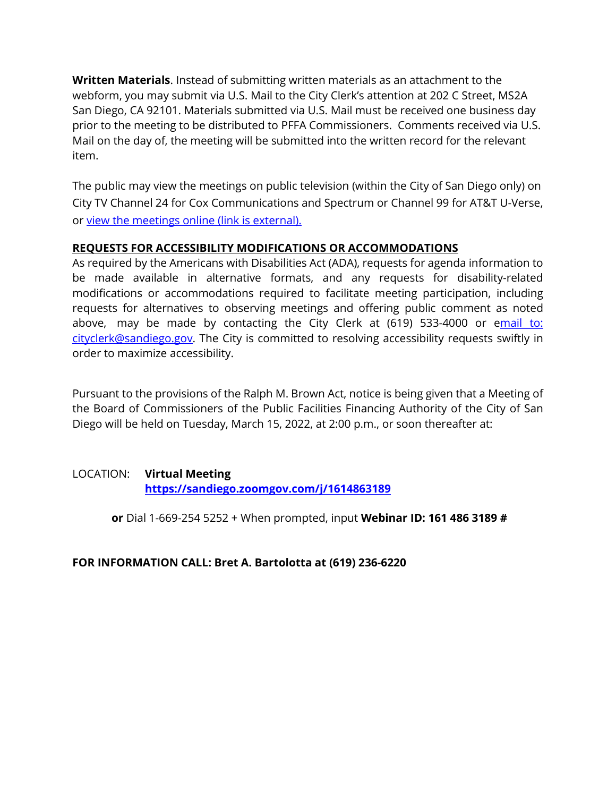**Written Materials**. Instead of submitting written materials as an attachment to the webform, you may submit via U.S. Mail to the City Clerk's attention at 202 C Street, MS2A San Diego, CA 92101. Materials submitted via U.S. Mail must be received one business day prior to the meeting to be distributed to PFFA Commissioners. Comments received via U.S. Mail on the day of, the meeting will be submitted into the written record for the relevant item.

The public may view the meetings on public television (within the City of San Diego only) on City TV Channel 24 for Cox Communications and Spectrum or Channel 99 for AT&T U-Verse, or [view the meetings online \(link is external\).](http://sandiego.granicus.com/ViewPublisher.php?view_id=31) 

## **REQUESTS FOR ACCESSIBILITY MODIFICATIONS OR ACCOMMODATIONS**

As required by the Americans with Disabilities Act (ADA), requests for agenda information to be made available in alternative formats, and any requests for disability-related modifications or accommodations required to facilitate meeting participation, including requests for alternatives to observing meetings and offering public comment as noted above, may be made by contacting the City Clerk at  $(619)$  533-4000 or email to: [cityclerk@sandiego.gov.](mailto:mail%20to:%20cityclerk@sandiego.gov) The City is committed to resolving accessibility requests swiftly in order to maximize accessibility.

Pursuant to the provisions of the Ralph M. Brown Act, notice is being given that a Meeting of the Board of Commissioners of the Public Facilities Financing Authority of the City of San Diego will be held on Tuesday, March 15, 2022, at 2:00 p.m., or soon thereafter at:

## LOCATION: **Virtual Meeting <https://sandiego.zoomgov.com/j/1614863189>**

**or** Dial 1-669-254 5252 + When prompted, input **Webinar ID: 161 486 3189 #**

### **FOR INFORMATION CALL: Bret A. Bartolotta at (619) 236-6220**